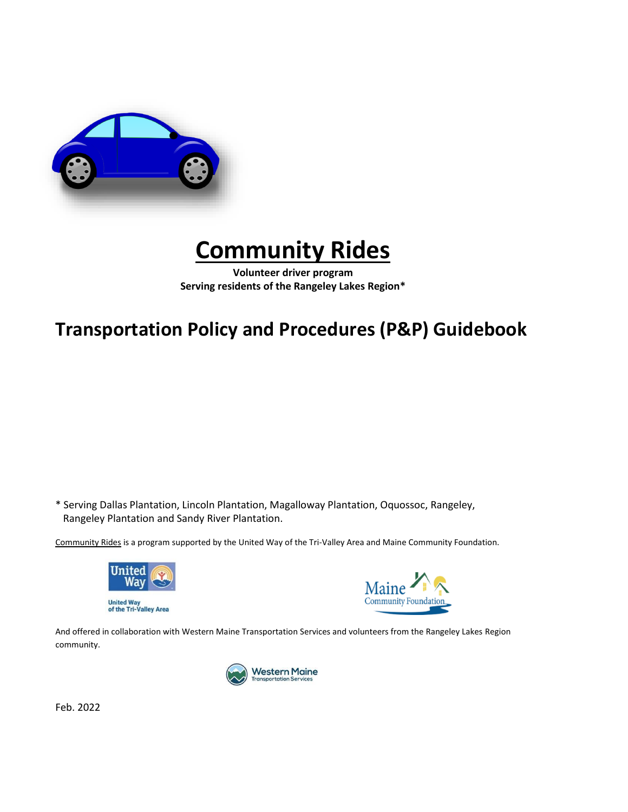

# **Community Rides**

**Volunteer driver program Serving residents of the Rangeley Lakes Region\***

## **Transportation Policy and Procedures (P&P) Guidebook**

\* Serving Dallas Plantation, Lincoln Plantation, Magalloway Plantation, Oquossoc, Rangeley, Rangeley Plantation and Sandy River Plantation.

Community Rides is a program supported by the United Way of the Tri-Valley Area and Maine Community Foundation.





And offered in collaboration with Western Maine Transportation Services and volunteers from the Rangeley Lakes Region community.



Feb. 2022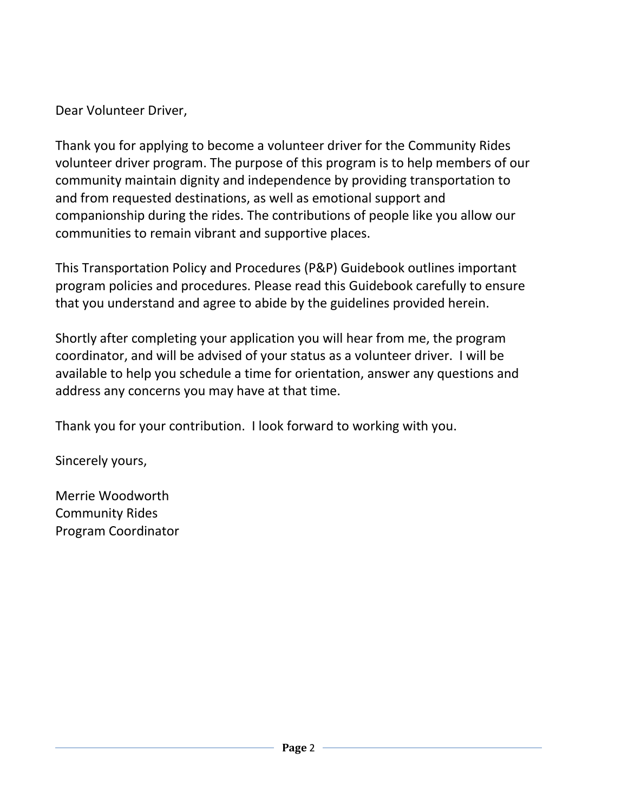Dear Volunteer Driver,

Thank you for applying to become a volunteer driver for the Community Rides volunteer driver program. The purpose of this program is to help members of our community maintain dignity and independence by providing transportation to and from requested destinations, as well as emotional support and companionship during the rides. The contributions of people like you allow our communities to remain vibrant and supportive places.

This Transportation Policy and Procedures (P&P) Guidebook outlines important program policies and procedures. Please read this Guidebook carefully to ensure that you understand and agree to abide by the guidelines provided herein.

Shortly after completing your application you will hear from me, the program coordinator, and will be advised of your status as a volunteer driver. I will be available to help you schedule a time for orientation, answer any questions and address any concerns you may have at that time.

Thank you for your contribution. I look forward to working with you.

Sincerely yours,

Merrie Woodworth Community Rides Program Coordinator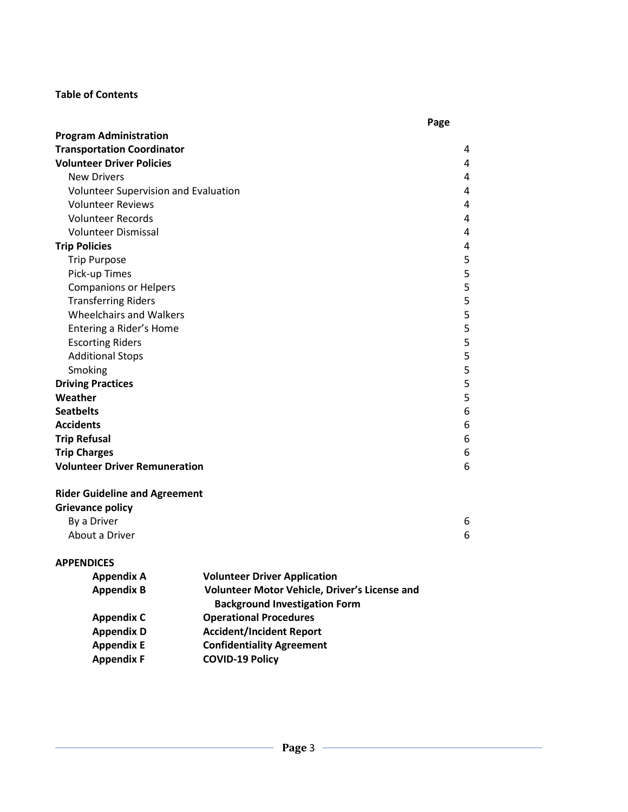#### **Table of Contents**

|                                             | Page |
|---------------------------------------------|------|
| <b>Program Administration</b>               |      |
| <b>Transportation Coordinator</b>           | 4    |
| <b>Volunteer Driver Policies</b>            | 4    |
| <b>New Drivers</b>                          | 4    |
| <b>Volunteer Supervision and Evaluation</b> | 4    |
| <b>Volunteer Reviews</b>                    | 4    |
| <b>Volunteer Records</b>                    | 4    |
| <b>Volunteer Dismissal</b>                  | 4    |
| <b>Trip Policies</b>                        | 4    |
| <b>Trip Purpose</b>                         | 5    |
| Pick-up Times                               | 5    |
| <b>Companions or Helpers</b>                | 5    |
| <b>Transferring Riders</b>                  | 5    |
| <b>Wheelchairs and Walkers</b>              | 5    |
| Entering a Rider's Home                     | 5    |
| <b>Escorting Riders</b>                     | 5    |
| <b>Additional Stops</b>                     | 5    |
| Smoking                                     | 5    |
| <b>Driving Practices</b>                    | 5    |
| Weather                                     | 5    |
| <b>Seatbelts</b>                            | 6    |
| <b>Accidents</b>                            | 6    |
| <b>Trip Refusal</b>                         | 6    |
| <b>Trip Charges</b>                         | 6    |
| <b>Volunteer Driver Remuneration</b>        | 6    |
| <b>Didar Cuideling and Agreement</b>        |      |

#### **Rider Guideline and Agreement**

| <b>Grievance policy</b> |  |
|-------------------------|--|
| By a Driver             |  |
| About a Driver          |  |

## **APPENDICES**

| <b>Appendix A</b> | <b>Volunteer Driver Application</b>                                                   |
|-------------------|---------------------------------------------------------------------------------------|
| <b>Appendix B</b> | Volunteer Motor Vehicle, Driver's License and<br><b>Background Investigation Form</b> |
| <b>Appendix C</b> | <b>Operational Procedures</b>                                                         |
| <b>Appendix D</b> | <b>Accident/Incident Report</b>                                                       |
| <b>Appendix E</b> | <b>Confidentiality Agreement</b>                                                      |
| <b>Appendix F</b> | <b>COVID-19 Policy</b>                                                                |
|                   |                                                                                       |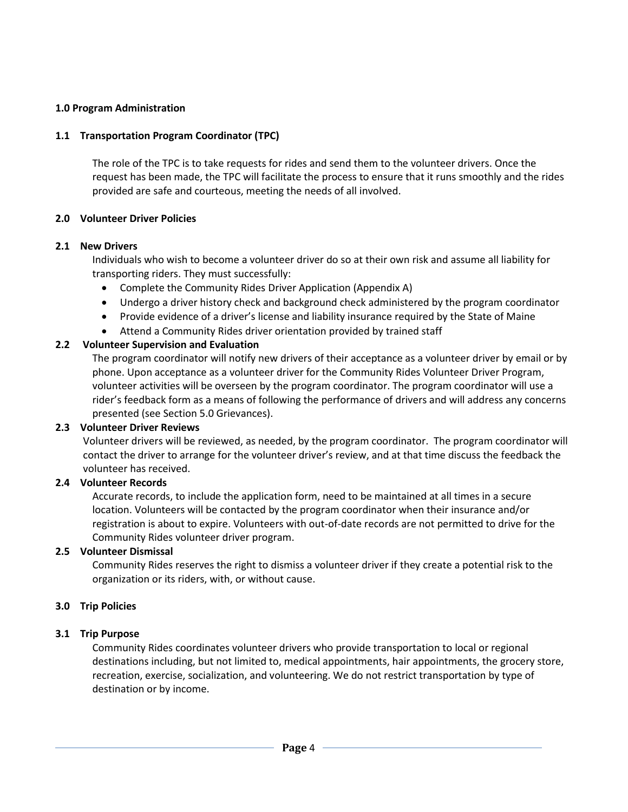#### **1.0 Program Administration**

#### **1.1 Transportation Program Coordinator (TPC)**

The role of the TPC is to take requests for rides and send them to the volunteer drivers. Once the request has been made, the TPC will facilitate the process to ensure that it runs smoothly and the rides provided are safe and courteous, meeting the needs of all involved.

#### **2.0 Volunteer Driver Policies**

#### **2.1 New Drivers**

Individuals who wish to become a volunteer driver do so at their own risk and assume all liability for transporting riders. They must successfully:

- Complete the Community Rides Driver Application (Appendix A)
- Undergo a driver history check and background check administered by the program coordinator
- Provide evidence of a driver's license and liability insurance required by the State of Maine
- Attend a Community Rides driver orientation provided by trained staff

#### **2.2 Volunteer Supervision and Evaluation**

The program coordinator will notify new drivers of their acceptance as a volunteer driver by email or by phone. Upon acceptance as a volunteer driver for the Community Rides Volunteer Driver Program, volunteer activities will be overseen by the program coordinator. The program coordinator will use a rider's feedback form as a means of following the performance of drivers and will address any concerns presented (see Section 5.0 Grievances).

#### **2.3 Volunteer Driver Reviews**

Volunteer drivers will be reviewed, as needed, by the program coordinator. The program coordinator will contact the driver to arrange for the volunteer driver's review, and at that time discuss the feedback the volunteer has received.

#### **2.4 Volunteer Records**

Accurate records, to include the application form, need to be maintained at all times in a secure location. Volunteers will be contacted by the program coordinator when their insurance and/or registration is about to expire. Volunteers with out-of-date records are not permitted to drive for the Community Rides volunteer driver program.

#### **2.5 Volunteer Dismissal**

Community Rides reserves the right to dismiss a volunteer driver if they create a potential risk to the organization or its riders, with, or without cause.

#### **3.0 Trip Policies**

#### **3.1 Trip Purpose**

Community Rides coordinates volunteer drivers who provide transportation to local or regional destinations including, but not limited to, medical appointments, hair appointments, the grocery store, recreation, exercise, socialization, and volunteering. We do not restrict transportation by type of destination or by income.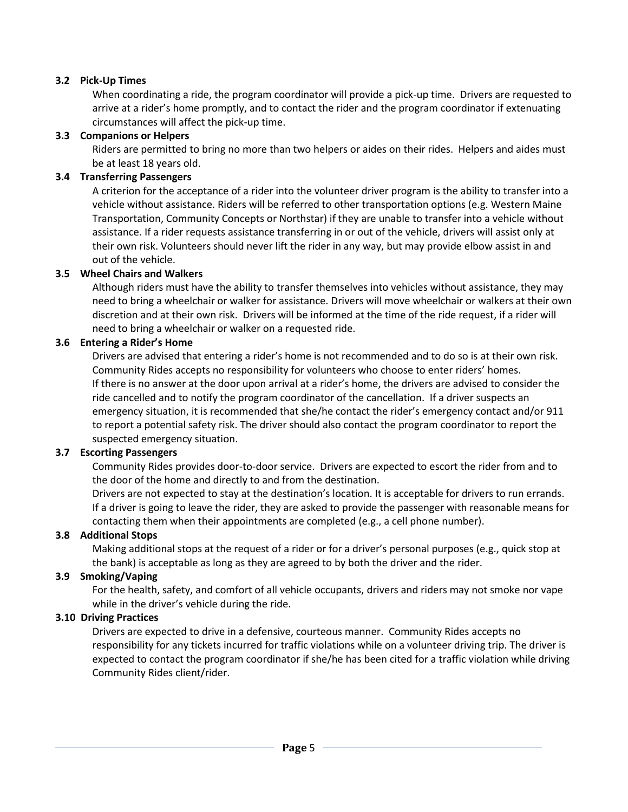#### **3.2 Pick-Up Times**

When coordinating a ride, the program coordinator will provide a pick-up time. Drivers are requested to arrive at a rider's home promptly, and to contact the rider and the program coordinator if extenuating circumstances will affect the pick-up time.

### **3.3 Companions or Helpers**

Riders are permitted to bring no more than two helpers or aides on their rides. Helpers and aides must be at least 18 years old.

#### **3.4 Transferring Passengers**

A criterion for the acceptance of a rider into the volunteer driver program is the ability to transfer into a vehicle without assistance. Riders will be referred to other transportation options (e.g. Western Maine Transportation, Community Concepts or Northstar) if they are unable to transfer into a vehicle without assistance. If a rider requests assistance transferring in or out of the vehicle, drivers will assist only at their own risk. Volunteers should never lift the rider in any way, but may provide elbow assist in and out of the vehicle.

#### **3.5 Wheel Chairs and Walkers**

Although riders must have the ability to transfer themselves into vehicles without assistance, they may need to bring a wheelchair or walker for assistance. Drivers will move wheelchair or walkers at their own discretion and at their own risk. Drivers will be informed at the time of the ride request, if a rider will need to bring a wheelchair or walker on a requested ride.

#### **3.6 Entering a Rider's Home**

Drivers are advised that entering a rider's home is not recommended and to do so is at their own risk. Community Rides accepts no responsibility for volunteers who choose to enter riders' homes. If there is no answer at the door upon arrival at a rider's home, the drivers are advised to consider the ride cancelled and to notify the program coordinator of the cancellation. If a driver suspects an emergency situation, it is recommended that she/he contact the rider's emergency contact and/or 911 to report a potential safety risk. The driver should also contact the program coordinator to report the suspected emergency situation.

#### **3.7 Escorting Passengers**

Community Rides provides door-to-door service. Drivers are expected to escort the rider from and to the door of the home and directly to and from the destination.

Drivers are not expected to stay at the destination's location. It is acceptable for drivers to run errands. If a driver is going to leave the rider, they are asked to provide the passenger with reasonable means for contacting them when their appointments are completed (e.g., a cell phone number).

#### **3.8 Additional Stops**

Making additional stops at the request of a rider or for a driver's personal purposes (e.g., quick stop at the bank) is acceptable as long as they are agreed to by both the driver and the rider.

#### **3.9 Smoking/Vaping**

For the health, safety, and comfort of all vehicle occupants, drivers and riders may not smoke nor vape while in the driver's vehicle during the ride.

#### **3.10 Driving Practices**

Drivers are expected to drive in a defensive, courteous manner. Community Rides accepts no responsibility for any tickets incurred for traffic violations while on a volunteer driving trip. The driver is expected to contact the program coordinator if she/he has been cited for a traffic violation while driving Community Rides client/rider.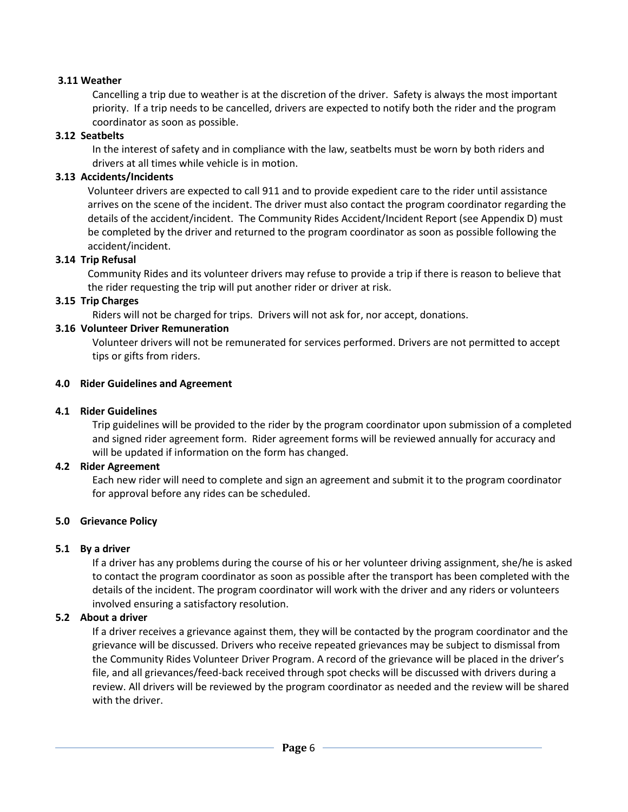#### **3.11 Weather**

Cancelling a trip due to weather is at the discretion of the driver. Safety is always the most important priority. If a trip needs to be cancelled, drivers are expected to notify both the rider and the program coordinator as soon as possible.

#### **3.12 Seatbelts**

In the interest of safety and in compliance with the law, seatbelts must be worn by both riders and drivers at all times while vehicle is in motion.

#### **3.13 Accidents/Incidents**

Volunteer drivers are expected to call 911 and to provide expedient care to the rider until assistance arrives on the scene of the incident. The driver must also contact the program coordinator regarding the details of the accident/incident. The Community Rides Accident/Incident Report (see Appendix D) must be completed by the driver and returned to the program coordinator as soon as possible following the accident/incident.

#### **3.14 Trip Refusal**

Community Rides and its volunteer drivers may refuse to provide a trip if there is reason to believe that the rider requesting the trip will put another rider or driver at risk.

#### **3.15 Trip Charges**

Riders will not be charged for trips. Drivers will not ask for, nor accept, donations.

#### **3.16 Volunteer Driver Remuneration**

Volunteer drivers will not be remunerated for services performed. Drivers are not permitted to accept tips or gifts from riders.

#### **4.0 Rider Guidelines and Agreement**

#### **4.1 Rider Guidelines**

Trip guidelines will be provided to the rider by the program coordinator upon submission of a completed and signed rider agreement form. Rider agreement forms will be reviewed annually for accuracy and will be updated if information on the form has changed.

#### **4.2 Rider Agreement**

Each new rider will need to complete and sign an agreement and submit it to the program coordinator for approval before any rides can be scheduled.

#### **5.0 Grievance Policy**

#### **5.1 By a driver**

If a driver has any problems during the course of his or her volunteer driving assignment, she/he is asked to contact the program coordinator as soon as possible after the transport has been completed with the details of the incident. The program coordinator will work with the driver and any riders or volunteers involved ensuring a satisfactory resolution.

#### **5.2 About a driver**

If a driver receives a grievance against them, they will be contacted by the program coordinator and the grievance will be discussed. Drivers who receive repeated grievances may be subject to dismissal from the Community Rides Volunteer Driver Program. A record of the grievance will be placed in the driver's file, and all grievances/feed-back received through spot checks will be discussed with drivers during a review. All drivers will be reviewed by the program coordinator as needed and the review will be shared with the driver.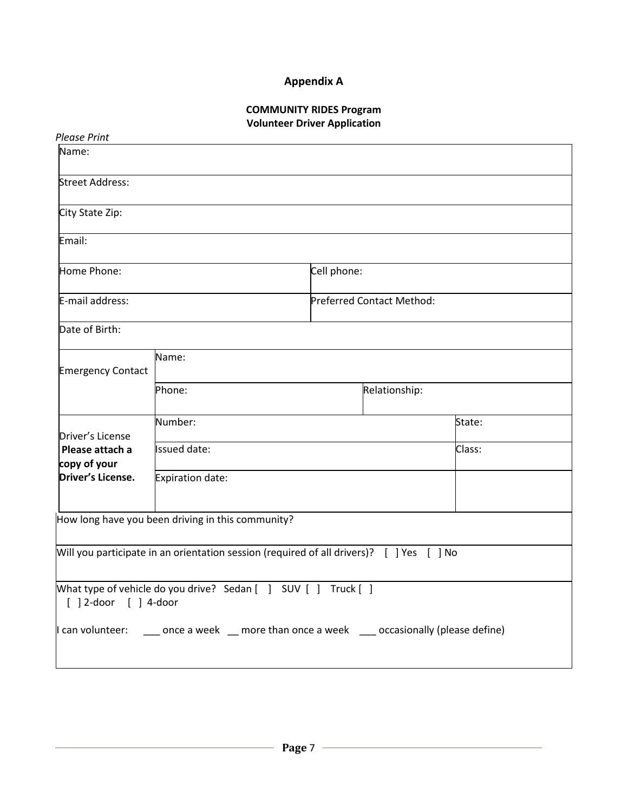## **Appendix A**

## **COMMUNITY RIDES Program Volunteer Driver Application**

| <b>Please Print</b>             |                                                                                                            |             |                           |        |
|---------------------------------|------------------------------------------------------------------------------------------------------------|-------------|---------------------------|--------|
| Name:                           |                                                                                                            |             |                           |        |
| <b>Street Address:</b>          |                                                                                                            |             |                           |        |
| City State Zip:                 |                                                                                                            |             |                           |        |
| Email:                          |                                                                                                            |             |                           |        |
| Home Phone:                     |                                                                                                            | Cell phone: |                           |        |
| E-mail address:                 |                                                                                                            |             | Preferred Contact Method: |        |
| Date of Birth:                  |                                                                                                            |             |                           |        |
| <b>Emergency Contact</b>        | Name:                                                                                                      |             |                           |        |
|                                 | Phone:                                                                                                     |             | Relationship:             |        |
| Driver's License                | Number:                                                                                                    |             |                           | State: |
| Please attach a<br>copy of your | <b>Issued date:</b>                                                                                        |             |                           | Class: |
| Driver's License.               | Expiration date:                                                                                           |             |                           |        |
|                                 | How long have you been driving in this community?                                                          |             |                           |        |
|                                 | Will you participate in an orientation session (required of all drivers)? $[$ ] Yes $[$ ] No               |             |                           |        |
| [ ] 2-door [ ] 4-door           | Mhat type of vehicle do you drive? Sedan [ ] SUV [ ] Truck [ ]                                             |             |                           |        |
|                                 | $\parallel$ can volunteer: ______ once a week ___ more than once a week _____ occasionally (please define) |             |                           |        |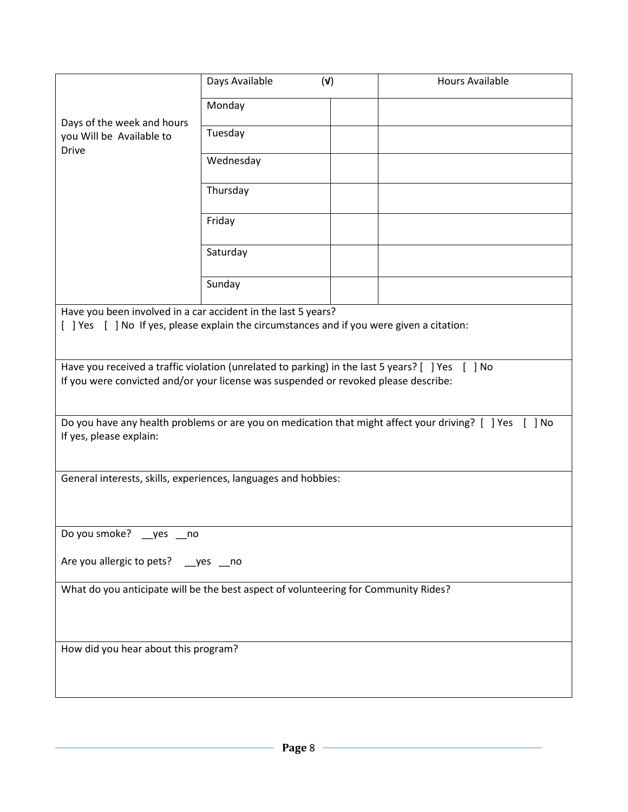|                                                                                                                                                                                         | Days Available | (V) | <b>Hours Available</b> |
|-----------------------------------------------------------------------------------------------------------------------------------------------------------------------------------------|----------------|-----|------------------------|
|                                                                                                                                                                                         | Monday         |     |                        |
| Days of the week and hours<br>you Will be Available to                                                                                                                                  | Tuesday        |     |                        |
| <b>Drive</b>                                                                                                                                                                            |                |     |                        |
|                                                                                                                                                                                         | Wednesday      |     |                        |
|                                                                                                                                                                                         | Thursday       |     |                        |
|                                                                                                                                                                                         | Friday         |     |                        |
|                                                                                                                                                                                         | Saturday       |     |                        |
|                                                                                                                                                                                         | Sunday         |     |                        |
| Have you been involved in a car accident in the last 5 years?                                                                                                                           |                |     |                        |
| [ ] Yes [ ] No If yes, please explain the circumstances and if you were given a citation:                                                                                               |                |     |                        |
|                                                                                                                                                                                         |                |     |                        |
| Have you received a traffic violation (unrelated to parking) in the last 5 years? [ ] Yes [ ] No<br>If you were convicted and/or your license was suspended or revoked please describe: |                |     |                        |
|                                                                                                                                                                                         |                |     |                        |
| Do you have any health problems or are you on medication that might affect your driving? [ ] Yes [ ] No                                                                                 |                |     |                        |
| If yes, please explain:                                                                                                                                                                 |                |     |                        |
|                                                                                                                                                                                         |                |     |                        |
| General interests, skills, experiences, languages and hobbies:                                                                                                                          |                |     |                        |
|                                                                                                                                                                                         |                |     |                        |
|                                                                                                                                                                                         |                |     |                        |
| Do you smoke? __ yes __ no                                                                                                                                                              |                |     |                        |
| Are you allergic to pets? __ yes __ no                                                                                                                                                  |                |     |                        |
| What do you anticipate will be the best aspect of volunteering for Community Rides?                                                                                                     |                |     |                        |
|                                                                                                                                                                                         |                |     |                        |
|                                                                                                                                                                                         |                |     |                        |
| How did you hear about this program?                                                                                                                                                    |                |     |                        |
|                                                                                                                                                                                         |                |     |                        |
|                                                                                                                                                                                         |                |     |                        |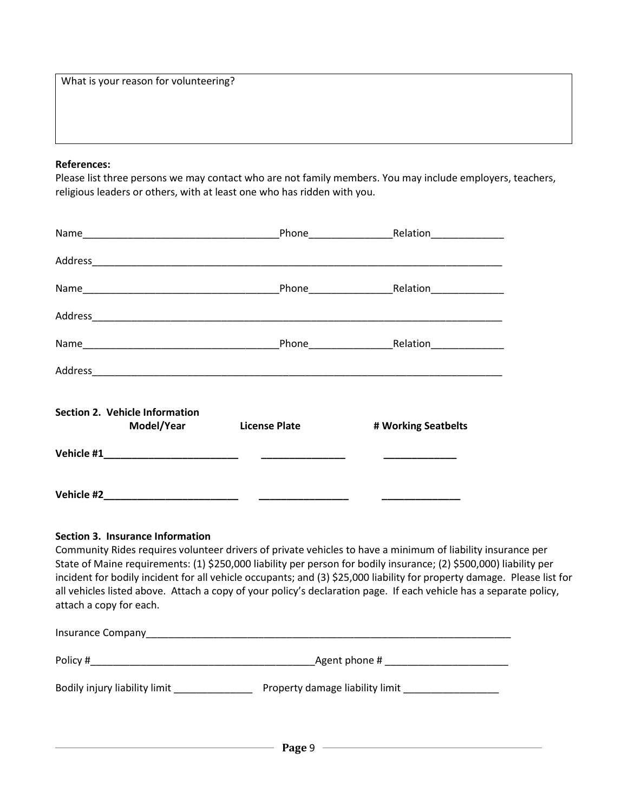|  | What is your reason for volunteering? |
|--|---------------------------------------|
|--|---------------------------------------|

#### **References:**

Please list three persons we may contact who are not family members. You may include employers, teachers, religious leaders or others, with at least one who has ridden with you.

| Section 2. Vehicle Information<br>Model/Year License Plate | # Working Seatbelts |
|------------------------------------------------------------|---------------------|
|                                                            |                     |
|                                                            |                     |

#### **Section 3. Insurance Information**

Community Rides requires volunteer drivers of private vehicles to have a minimum of liability insurance per State of Maine requirements: (1) \$250,000 liability per person for bodily insurance; (2) \$500,000) liability per incident for bodily incident for all vehicle occupants; and (3) \$25,000 liability for property damage. Please list for all vehicles listed above. Attach a copy of your policy's declaration page. If each vehicle has a separate policy, attach a copy for each.

| Insurance Company             |                                 |
|-------------------------------|---------------------------------|
| Policy #                      | Agent phone #                   |
| Bodily injury liability limit | Property damage liability limit |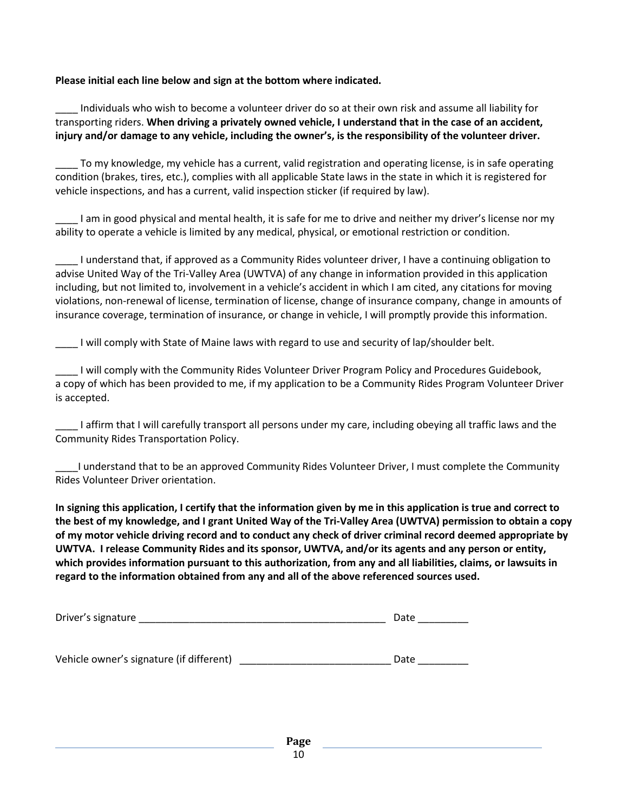#### **Please initial each line below and sign at the bottom where indicated.**

\_\_\_\_ Individuals who wish to become a volunteer driver do so at their own risk and assume all liability for transporting riders. **When driving a privately owned vehicle, I understand that in the case of an accident, injury and/or damage to any vehicle, including the owner's, is the responsibility of the volunteer driver.**

To my knowledge, my vehicle has a current, valid registration and operating license, is in safe operating condition (brakes, tires, etc.), complies with all applicable State laws in the state in which it is registered for vehicle inspections, and has a current, valid inspection sticker (if required by law).

I am in good physical and mental health, it is safe for me to drive and neither my driver's license nor my ability to operate a vehicle is limited by any medical, physical, or emotional restriction or condition.

\_\_\_\_ I understand that, if approved as a Community Rides volunteer driver, I have a continuing obligation to advise United Way of the Tri-Valley Area (UWTVA) of any change in information provided in this application including, but not limited to, involvement in a vehicle's accident in which I am cited, any citations for moving violations, non-renewal of license, termination of license, change of insurance company, change in amounts of insurance coverage, termination of insurance, or change in vehicle, I will promptly provide this information.

\_\_\_\_ I will comply with State of Maine laws with regard to use and security of lap/shoulder belt.

\_\_\_\_ I will comply with the Community Rides Volunteer Driver Program Policy and Procedures Guidebook, a copy of which has been provided to me, if my application to be a Community Rides Program Volunteer Driver is accepted.

\_\_\_\_ I affirm that I will carefully transport all persons under my care, including obeying all traffic laws and the Community Rides Transportation Policy.

\_\_\_\_I understand that to be an approved Community Rides Volunteer Driver, I must complete the Community Rides Volunteer Driver orientation.

**In signing this application, I certify that the information given by me in this application is true and correct to the best of my knowledge, and I grant United Way of the Tri-Valley Area (UWTVA) permission to obtain a copy of my motor vehicle driving record and to conduct any check of driver criminal record deemed appropriate by UWTVA. I release Community Rides and its sponsor, UWTVA, and/or its agents and any person or entity, which provides information pursuant to this authorization, from any and all liabilities, claims, or lawsuits in regard to the information obtained from any and all of the above referenced sources used.**

| Driver's signature                       | Date |
|------------------------------------------|------|
|                                          |      |
| Vehicle owner's signature (if different) | Date |

**Page**  10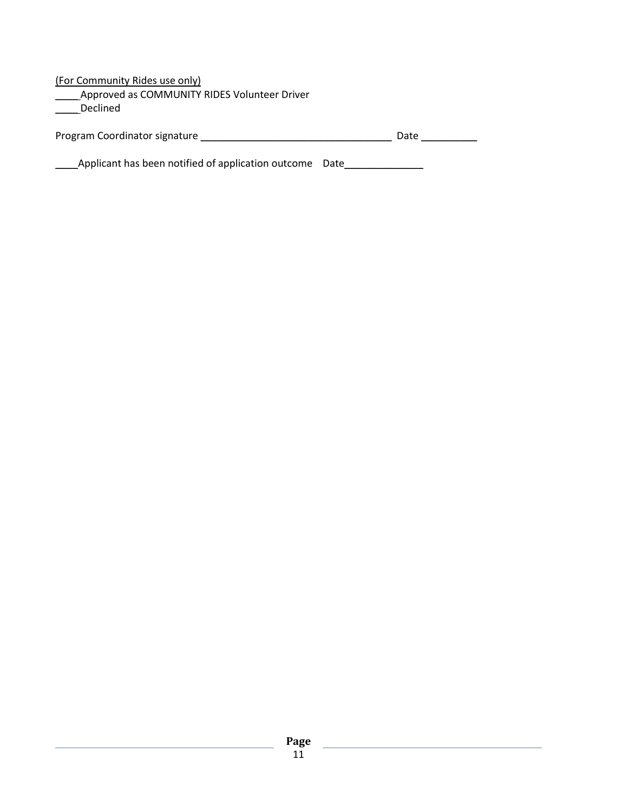(For Community Rides use only) \_\_\_\_ Approved as COMMUNITY RIDES Volunteer Driver \_\_\_\_ Declined

| Program Coordinator signature |  | Date |
|-------------------------------|--|------|
|-------------------------------|--|------|

\_\_\_\_Applicant has been notified of application outcome Date\_\_\_\_\_\_\_\_\_\_\_\_\_\_

<u> 1989 - Johann Barnett, fransk politiker (</u>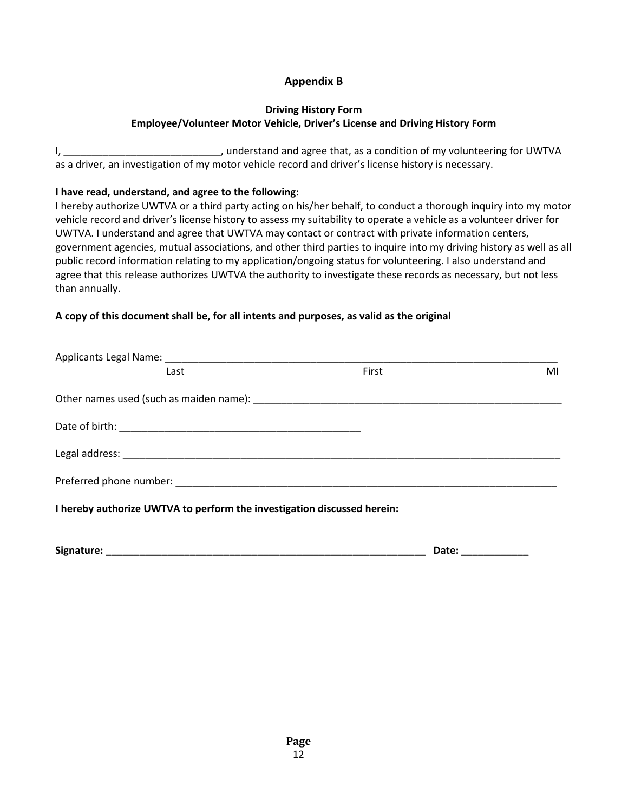## **Appendix B**

### **Driving History Form Employee/Volunteer Motor Vehicle, Driver's License and Driving History Form**

I, \_\_\_\_\_\_\_\_\_\_\_\_\_\_\_\_\_\_\_\_\_\_\_\_\_\_\_\_\_\_, understand and agree that, as a condition of my volunteering for UWTVA as a driver, an investigation of my motor vehicle record and driver's license history is necessary.

## **I have read, understand, and agree to the following:**

I hereby authorize UWTVA or a third party acting on his/her behalf, to conduct a thorough inquiry into my motor vehicle record and driver's license history to assess my suitability to operate a vehicle as a volunteer driver for UWTVA. I understand and agree that UWTVA may contact or contract with private information centers, government agencies, mutual associations, and other third parties to inquire into my driving history as well as all public record information relating to my application/ongoing status for volunteering. I also understand and agree that this release authorizes UWTVA the authority to investigate these records as necessary, but not less than annually.

## **A copy of this document shall be, for all intents and purposes, as valid as the original**

| Last                                                                    | First | MI |
|-------------------------------------------------------------------------|-------|----|
|                                                                         |       |    |
|                                                                         |       |    |
|                                                                         |       |    |
|                                                                         |       |    |
| I hereby authorize UWTVA to perform the investigation discussed herein: |       |    |
|                                                                         |       |    |

| Signature: | Date. |  |
|------------|-------|--|
|            |       |  |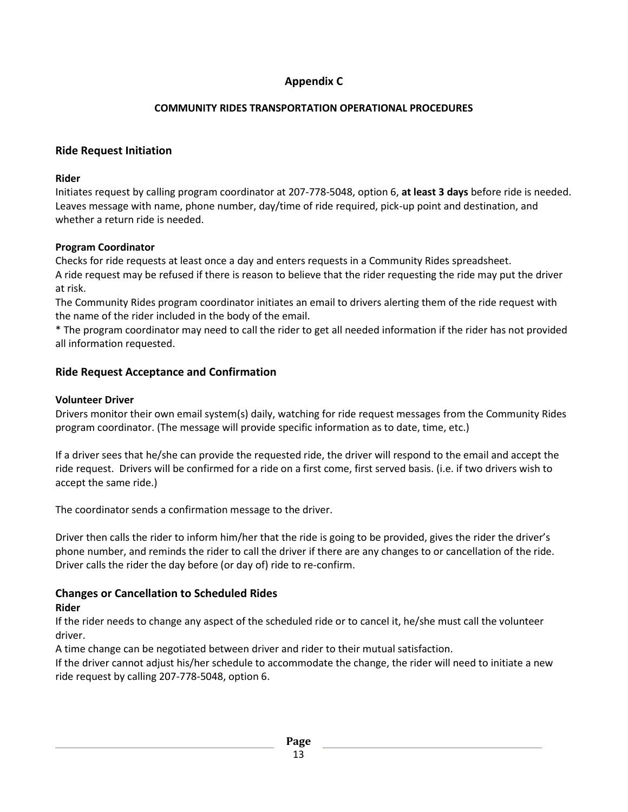## **Appendix C**

## **COMMUNITY RIDES TRANSPORTATION OPERATIONAL PROCEDURES**

## **Ride Request Initiation**

#### **Rider**

Initiates request by calling program coordinator at 207-778-5048, option 6, **at least 3 days** before ride is needed. Leaves message with name, phone number, day/time of ride required, pick-up point and destination, and whether a return ride is needed.

## **Program Coordinator**

Checks for ride requests at least once a day and enters requests in a Community Rides spreadsheet. A ride request may be refused if there is reason to believe that the rider requesting the ride may put the driver at risk.

The Community Rides program coordinator initiates an email to drivers alerting them of the ride request with the name of the rider included in the body of the email.

\* The program coordinator may need to call the rider to get all needed information if the rider has not provided all information requested.

## **Ride Request Acceptance and Confirmation**

## **Volunteer Driver**

Drivers monitor their own email system(s) daily, watching for ride request messages from the Community Rides program coordinator. (The message will provide specific information as to date, time, etc.)

If a driver sees that he/she can provide the requested ride, the driver will respond to the email and accept the ride request. Drivers will be confirmed for a ride on a first come, first served basis. (i.e. if two drivers wish to accept the same ride.)

The coordinator sends a confirmation message to the driver.

Driver then calls the rider to inform him/her that the ride is going to be provided, gives the rider the driver's phone number, and reminds the rider to call the driver if there are any changes to or cancellation of the ride. Driver calls the rider the day before (or day of) ride to re-confirm.

## **Changes or Cancellation to Scheduled Rides**

## **Rider**

If the rider needs to change any aspect of the scheduled ride or to cancel it, he/she must call the volunteer driver.

A time change can be negotiated between driver and rider to their mutual satisfaction.

If the driver cannot adjust his/her schedule to accommodate the change, the rider will need to initiate a new ride request by calling 207-778-5048, option 6.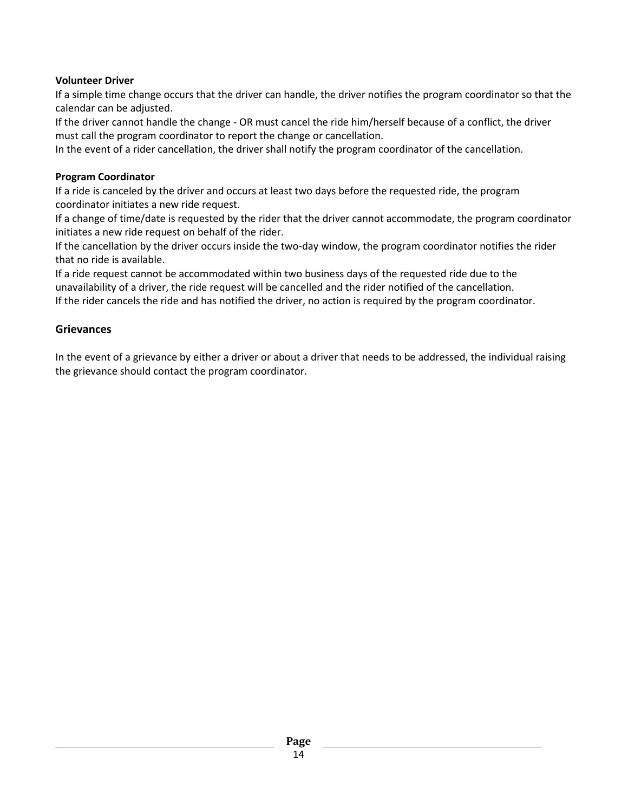#### **Volunteer Driver**

If a simple time change occurs that the driver can handle, the driver notifies the program coordinator so that the calendar can be adjusted.

If the driver cannot handle the change - OR must cancel the ride him/herself because of a conflict, the driver must call the program coordinator to report the change or cancellation.

In the event of a rider cancellation, the driver shall notify the program coordinator of the cancellation.

#### **Program Coordinator**

If a ride is canceled by the driver and occurs at least two days before the requested ride, the program coordinator initiates a new ride request.

If a change of time/date is requested by the rider that the driver cannot accommodate, the program coordinator initiates a new ride request on behalf of the rider.

If the cancellation by the driver occurs inside the two-day window, the program coordinator notifies the rider that no ride is available.

If a ride request cannot be accommodated within two business days of the requested ride due to the unavailability of a driver, the ride request will be cancelled and the rider notified of the cancellation. If the rider cancels the ride and has notified the driver, no action is required by the program coordinator.

#### **Grievances**

In the event of a grievance by either a driver or about a driver that needs to be addressed, the individual raising the grievance should contact the program coordinator.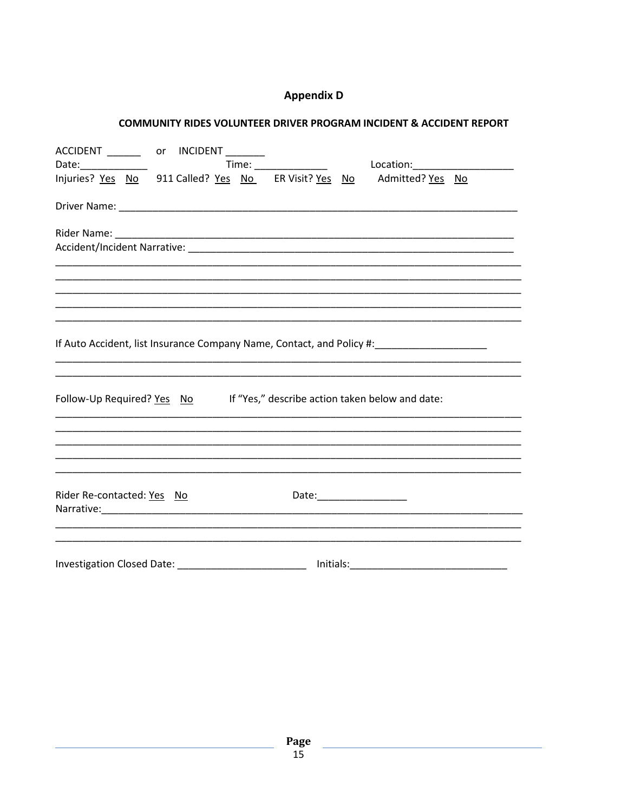## **Appendix D**

#### COMMUNITY RIDES VOLUNTEER DRIVER PROGRAM INCIDENT & ACCIDENT REPORT

|                            | ACCIDENT ____________ or INCIDENT _________ |                                                                                               |  |
|----------------------------|---------------------------------------------|-----------------------------------------------------------------------------------------------|--|
|                            |                                             |                                                                                               |  |
|                            |                                             |                                                                                               |  |
|                            |                                             |                                                                                               |  |
|                            |                                             |                                                                                               |  |
|                            |                                             |                                                                                               |  |
|                            |                                             |                                                                                               |  |
|                            |                                             |                                                                                               |  |
|                            |                                             |                                                                                               |  |
|                            |                                             | If Auto Accident, list Insurance Company Name, Contact, and Policy #: _______________________ |  |
|                            |                                             |                                                                                               |  |
|                            |                                             | Follow-Up Required? Yes No If "Yes," describe action taken below and date:                    |  |
|                            |                                             |                                                                                               |  |
|                            |                                             |                                                                                               |  |
|                            |                                             |                                                                                               |  |
| Rider Re-contacted: Yes No |                                             | Date:___________________                                                                      |  |
|                            |                                             |                                                                                               |  |
|                            |                                             |                                                                                               |  |
|                            |                                             |                                                                                               |  |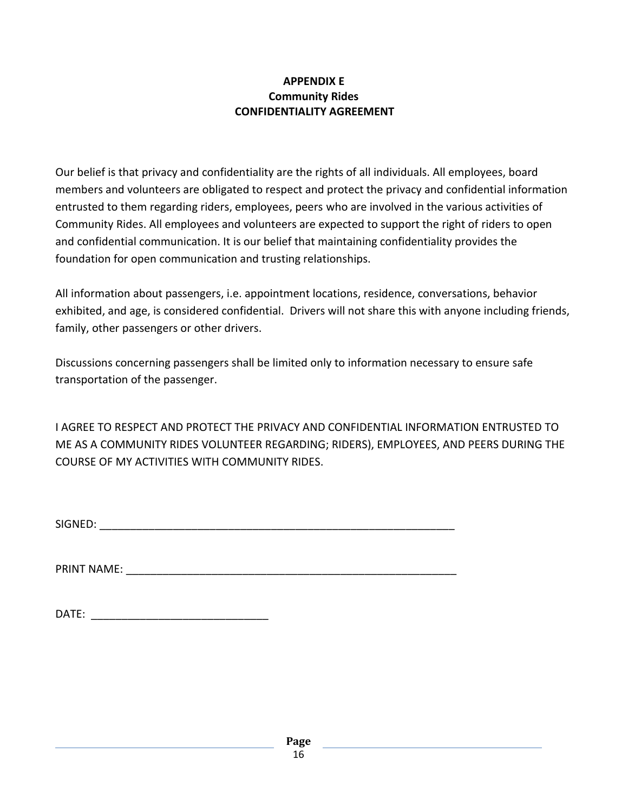## **APPENDIX E Community Rides CONFIDENTIALITY AGREEMENT**

Our belief is that privacy and confidentiality are the rights of all individuals. All employees, board members and volunteers are obligated to respect and protect the privacy and confidential information entrusted to them regarding riders, employees, peers who are involved in the various activities of Community Rides. All employees and volunteers are expected to support the right of riders to open and confidential communication. It is our belief that maintaining confidentiality provides the foundation for open communication and trusting relationships.

All information about passengers, i.e. appointment locations, residence, conversations, behavior exhibited, and age, is considered confidential. Drivers will not share this with anyone including friends, family, other passengers or other drivers.

Discussions concerning passengers shall be limited only to information necessary to ensure safe transportation of the passenger.

I AGREE TO RESPECT AND PROTECT THE PRIVACY AND CONFIDENTIAL INFORMATION ENTRUSTED TO ME AS A COMMUNITY RIDES VOLUNTEER REGARDING; RIDERS), EMPLOYEES, AND PEERS DURING THE COURSE OF MY ACTIVITIES WITH COMMUNITY RIDES.

SIGNED: \_\_\_\_\_\_\_\_\_\_\_\_\_\_\_\_\_\_\_\_\_\_\_\_\_\_\_\_\_\_\_\_\_\_\_\_\_\_\_\_\_\_\_\_\_\_\_\_\_\_\_\_\_\_\_\_\_\_

PRINT NAME:

| <b>DATE</b> |  |
|-------------|--|
|             |  |